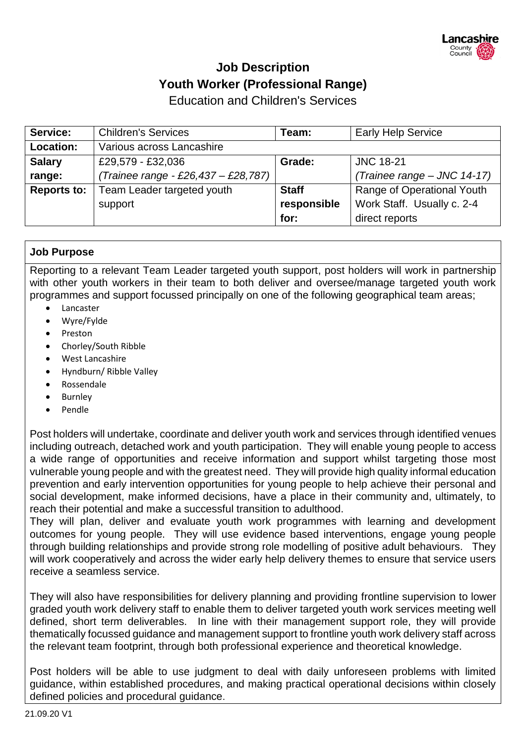# **Job Description Youth Worker (Professional Range)**

Education and Children's Services

| Service:           | <b>Children's Services</b>          | Team:        | <b>Early Help Service</b>   |  |
|--------------------|-------------------------------------|--------------|-----------------------------|--|
| Location:          | Various across Lancashire           |              |                             |  |
| <b>Salary</b>      | £29,579 - £32,036                   | Grade:       | <b>JNC 18-21</b>            |  |
| range:             | (Trainee range - £26,437 - £28,787) |              | (Trainee range - JNC 14-17) |  |
| <b>Reports to:</b> | Team Leader targeted youth          | <b>Staff</b> | Range of Operational Youth  |  |
|                    | support                             | responsible  | Work Staff. Usually c. 2-4  |  |
|                    |                                     | for:         | direct reports              |  |

## **Job Purpose**

Reporting to a relevant Team Leader targeted youth support, post holders will work in partnership with other youth workers in their team to both deliver and oversee/manage targeted youth work programmes and support focussed principally on one of the following geographical team areas;

- Lancaster
- Wyre/Fylde
- Preston
- Chorley/South Ribble
- West Lancashire
- Hyndburn/ Ribble Valley
- Rossendale
- Burnley
- Pendle

Post holders will undertake, coordinate and deliver youth work and services through identified venues including outreach, detached work and youth participation. They will enable young people to access a wide range of opportunities and receive information and support whilst targeting those most vulnerable young people and with the greatest need. They will provide high quality informal education prevention and early intervention opportunities for young people to help achieve their personal and social development, make informed decisions, have a place in their community and, ultimately, to reach their potential and make a successful transition to adulthood.

They will plan, deliver and evaluate youth work programmes with learning and development outcomes for young people. They will use evidence based interventions, engage young people through building relationships and provide strong role modelling of positive adult behaviours. They will work cooperatively and across the wider early help delivery themes to ensure that service users receive a seamless service.

They will also have responsibilities for delivery planning and providing frontline supervision to lower graded youth work delivery staff to enable them to deliver targeted youth work services meeting well defined, short term deliverables. In line with their management support role, they will provide thematically focussed guidance and management support to frontline youth work delivery staff across the relevant team footprint, through both professional experience and theoretical knowledge.

Post holders will be able to use judgment to deal with daily unforeseen problems with limited guidance, within established procedures, and making practical operational decisions within closely defined policies and procedural guidance.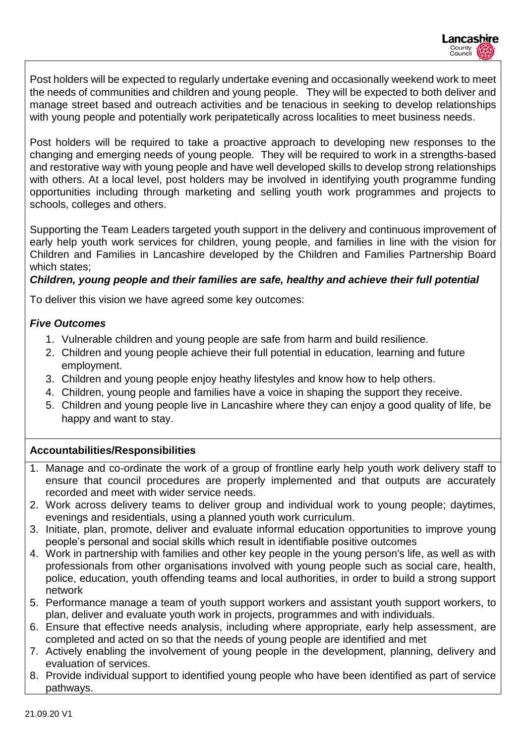Post holders will be expected to regularly undertake evening and occasionally weekend work to meet the needs of communities and children and young people. They will be expected to both deliver and manage street based and outreach activities and be tenacious in seeking to develop relationships with young people and potentially work peripatetically across localities to meet business needs.

Post holders will be required to take a proactive approach to developing new responses to the changing and emerging needs of young people. They will be required to work in a strengths-based and restorative way with young people and have well developed skills to develop strong relationships with others. At a local level, post holders may be involved in identifying youth programme funding opportunities including through marketing and selling youth work programmes and projects to schools, colleges and others.

Supporting the Team Leaders targeted youth support in the delivery and continuous improvement of early help youth work services for children, young people, and families in line with the vision for Children and Families in Lancashire developed by the Children and Families Partnership Board which states;

#### *Children, young people and their families are safe, healthy and achieve their full potential*

To deliver this vision we have agreed some key outcomes:

### *Five Outcomes*

- 1. Vulnerable children and young people are safe from harm and build resilience.
- 2. Children and young people achieve their full potential in education, learning and future employment.
- 3. Children and young people enjoy heathy lifestyles and know how to help others.
- 4. Children, young people and families have a voice in shaping the support they receive.
- 5. Children and young people live in Lancashire where they can enjoy a good quality of life, be happy and want to stay.

## **Accountabilities/Responsibilities**

- 1. Manage and co-ordinate the work of a group of frontline early help youth work delivery staff to ensure that council procedures are properly implemented and that outputs are accurately recorded and meet with wider service needs.
- 2. Work across delivery teams to deliver group and individual work to young people; daytimes, evenings and residentials, using a planned youth work curriculum.
- 3. Initiate, plan, promote, deliver and evaluate informal education opportunities to improve young people's personal and social skills which result in identifiable positive outcomes
- 4. Work in partnership with families and other key people in the young person's life, as well as with professionals from other organisations involved with young people such as social care, health, police, education, youth offending teams and local authorities, in order to build a strong support network
- 5. Performance manage a team of youth support workers and assistant youth support workers, to plan, deliver and evaluate youth work in projects, programmes and with individuals.
- 6. Ensure that effective needs analysis, including where appropriate, early help assessment, are completed and acted on so that the needs of young people are identified and met
- 7. Actively enabling the involvement of young people in the development, planning, delivery and evaluation of services.
- 8. Provide individual support to identified young people who have been identified as part of service pathways.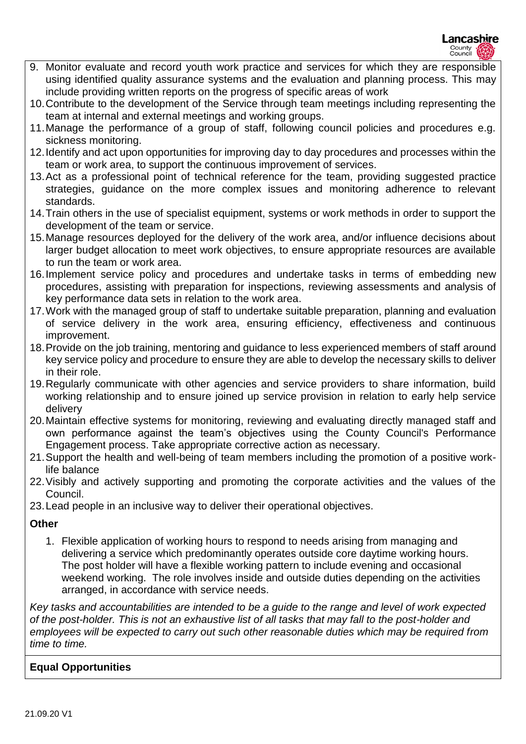- 9. Monitor evaluate and record youth work practice and services for which they are responsible using identified quality assurance systems and the evaluation and planning process. This may include providing written reports on the progress of specific areas of work
- 10.Contribute to the development of the Service through team meetings including representing the team at internal and external meetings and working groups.
- 11.Manage the performance of a group of staff, following council policies and procedures e.g. sickness monitoring.
- 12.Identify and act upon opportunities for improving day to day procedures and processes within the team or work area, to support the continuous improvement of services.
- 13.Act as a professional point of technical reference for the team, providing suggested practice strategies, guidance on the more complex issues and monitoring adherence to relevant standards.
- 14.Train others in the use of specialist equipment, systems or work methods in order to support the development of the team or service.
- 15.Manage resources deployed for the delivery of the work area, and/or influence decisions about larger budget allocation to meet work objectives, to ensure appropriate resources are available to run the team or work area.
- 16.Implement service policy and procedures and undertake tasks in terms of embedding new procedures, assisting with preparation for inspections, reviewing assessments and analysis of key performance data sets in relation to the work area.
- 17.Work with the managed group of staff to undertake suitable preparation, planning and evaluation of service delivery in the work area, ensuring efficiency, effectiveness and continuous improvement.
- 18.Provide on the job training, mentoring and guidance to less experienced members of staff around key service policy and procedure to ensure they are able to develop the necessary skills to deliver in their role.
- 19.Regularly communicate with other agencies and service providers to share information, build working relationship and to ensure joined up service provision in relation to early help service delivery
- 20.Maintain effective systems for monitoring, reviewing and evaluating directly managed staff and own performance against the team's objectives using the County Council's Performance Engagement process. Take appropriate corrective action as necessary.
- 21.Support the health and well-being of team members including the promotion of a positive worklife balance
- 22.Visibly and actively supporting and promoting the corporate activities and the values of the Council.
- 23.Lead people in an inclusive way to deliver their operational objectives.

## **Other**

1. Flexible application of working hours to respond to needs arising from managing and delivering a service which predominantly operates outside core daytime working hours. The post holder will have a flexible working pattern to include evening and occasional weekend working. The role involves inside and outside duties depending on the activities arranged, in accordance with service needs.

*Key tasks and accountabilities are intended to be a guide to the range and level of work expected of the post-holder. This is not an exhaustive list of all tasks that may fall to the post-holder and employees will be expected to carry out such other reasonable duties which may be required from time to time.*

## **Equal Opportunities**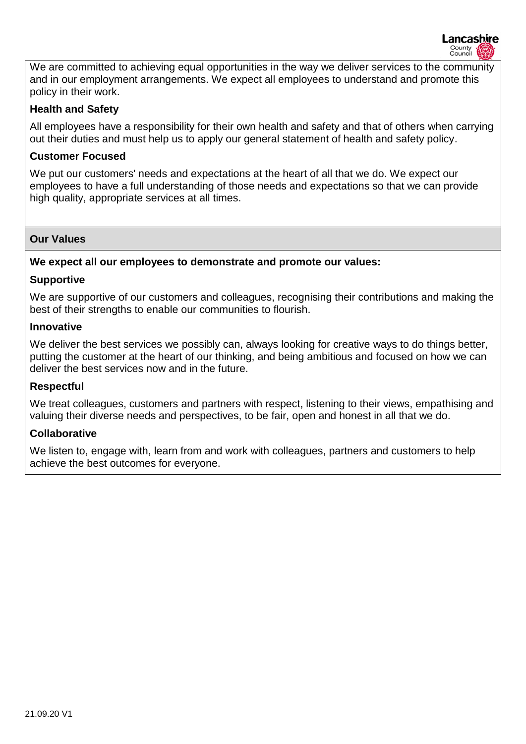Lancashire County<br>Council

We are committed to achieving equal opportunities in the way we deliver services to the community and in our employment arrangements. We expect all employees to understand and promote this policy in their work.

#### **Health and Safety**

All employees have a responsibility for their own health and safety and that of others when carrying out their duties and must help us to apply our general statement of health and safety policy.

#### **Customer Focused**

We put our customers' needs and expectations at the heart of all that we do. We expect our employees to have a full understanding of those needs and expectations so that we can provide high quality, appropriate services at all times.

#### **Our Values**

#### **We expect all our employees to demonstrate and promote our values:**

#### **Supportive**

We are supportive of our customers and colleagues, recognising their contributions and making the best of their strengths to enable our communities to flourish.

#### **Innovative**

We deliver the best services we possibly can, always looking for creative ways to do things better, putting the customer at the heart of our thinking, and being ambitious and focused on how we can deliver the best services now and in the future.

#### **Respectful**

We treat colleagues, customers and partners with respect, listening to their views, empathising and valuing their diverse needs and perspectives, to be fair, open and honest in all that we do.

#### **Collaborative**

We listen to, engage with, learn from and work with colleagues, partners and customers to help achieve the best outcomes for everyone.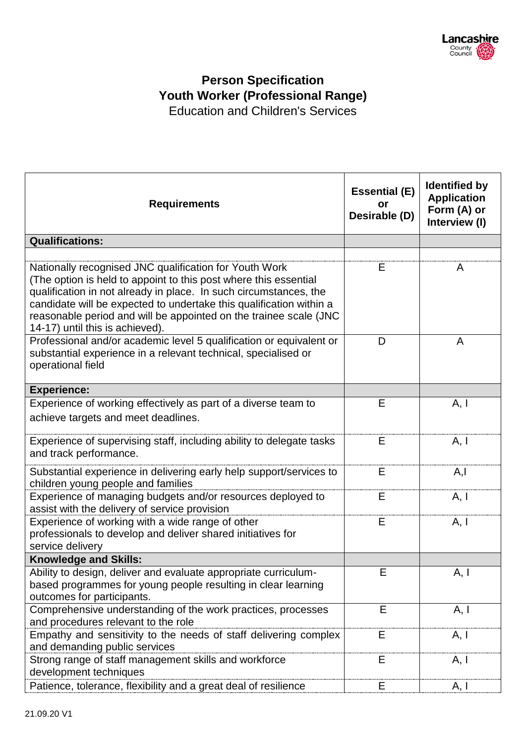

## **Person Specification Youth Worker (Professional Range)** Education and Children's Services

**Requirements Essential (E) or Desirable (D) Identified by Application Form (A) or Interview (I) Qualifications:**  Nationally recognised JNC qualification for Youth Work (The option is held to appoint to this post where this essential qualification in not already in place. In such circumstances, the candidate will be expected to undertake this qualification within a reasonable period and will be appointed on the trainee scale (JNC 14-17) until this is achieved). E A Professional and/or academic level 5 qualification or equivalent or substantial experience in a relevant technical, specialised or operational field  $D \qquad \qquad$  A **Experience:**  Experience of working effectively as part of a diverse team to achieve targets and meet deadlines.  $E \qquad \qquad$  A, I Experience of supervising staff, including ability to delegate tasks and track performance.  $E$   $A, I$ Substantial experience in delivering early help support/services to children young people and families  $F$   $A$ <sub>I</sub> Experience of managing budgets and/or resources deployed to assist with the delivery of service provision  $E$   $A, I$ Experience of working with a wide range of other professionals to develop and deliver shared initiatives for service delivery  $E$   $A, I$ **Knowledge and Skills:**  Ability to design, deliver and evaluate appropriate curriculumbased programmes for young people resulting in clear learning outcomes for participants.  $E \qquad \qquad$  A, I Comprehensive understanding of the work practices, processes and procedures relevant to the role  $E \qquad \qquad$  A, I Empathy and sensitivity to the needs of staff delivering complex and demanding public services  $E \qquad \qquad$  A, I Strong range of staff management skills and workforce development techniques  $E$   $A, I$ Patience, tolerance, flexibility and a great deal of resilience E A, I